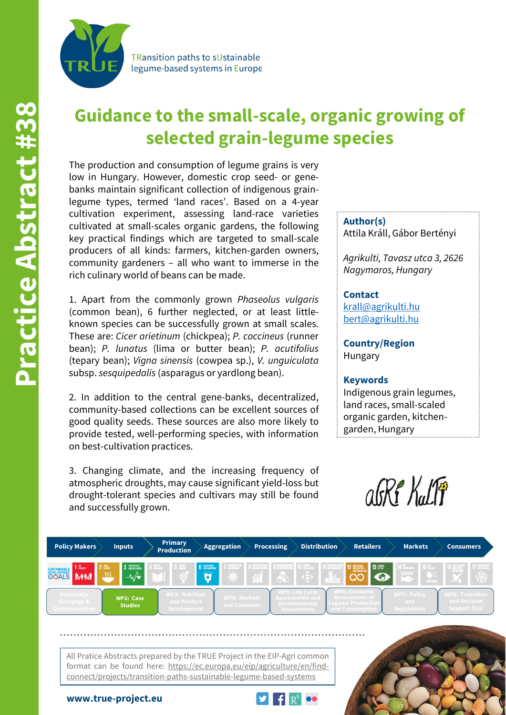

TRansition paths to sUstainable legume-based systems in Europe

# **Guidance to the small-scale, organic growing of selected grain-legume species**

The production and consumption of legume grains is very low in Hungary. However, domestic crop seed- or genebanks maintain significant collection of indigenous grainlegume types, termed 'land races'. Based on a 4-year cultivation experiment, assessing land-race varieties cultivated at small-scales organic gardens, the following key practical findings which are targeted to small-scale producers of all kinds: farmers, kitchen-garden owners, community gardeners – all who want to immerse in the rich culinary world of beans can be made.

1. Apart from the commonly grown *Phaseolus vulgaris* (common bean), 6 further neglected, or at least littleknown species can be successfully grown at small scales. These are: *Cicer arietinum* (chickpea); *P. coccineus* (runner bean); *P. lunatus* (lima or butter bean); *P. acutifolius* (tepary bean); *Vigna sinensis* (cowpea sp.), *V. unguiculata* subsp. *sesquipedalis* (asparagus or yardlong bean).

2. In addition to the central gene-banks, decentralized, community-based collections can be excellent sources of good quality seeds. These sources are also more likely to provide tested, well-performing species, with information on best-cultivation practices.

3. Changing climate, and the increasing frequency of atmospheric droughts, may cause significant yield-loss but drought-tolerant species and cultivars may still be found and successfully grown.

**Author(s)** Attila Králl, Gábor Bertényi

*Agrikulti, Tavasz utca 3, 2626 Nagymaros, Hungary*

### **Contact**

[krall@agrikulti.hu](mailto:krall@agrikulti.hu) [bert@agrikulti.hu](mailto:bert@agrikulti.hu)

**Country/Region** Hungary

#### **Keywords**

Indigenous grain legumes, land races, small-scaled organic garden, kitchengarden, Hungary





All Pratice Abstracts prepared by the TRUE Project in the EIP-Agri common format can be found here: https://ec.europa.eu/eip/agriculture/en/findconnect/projects/transition-paths-sustainable-legume-based-systems



**www.true-project.eu**